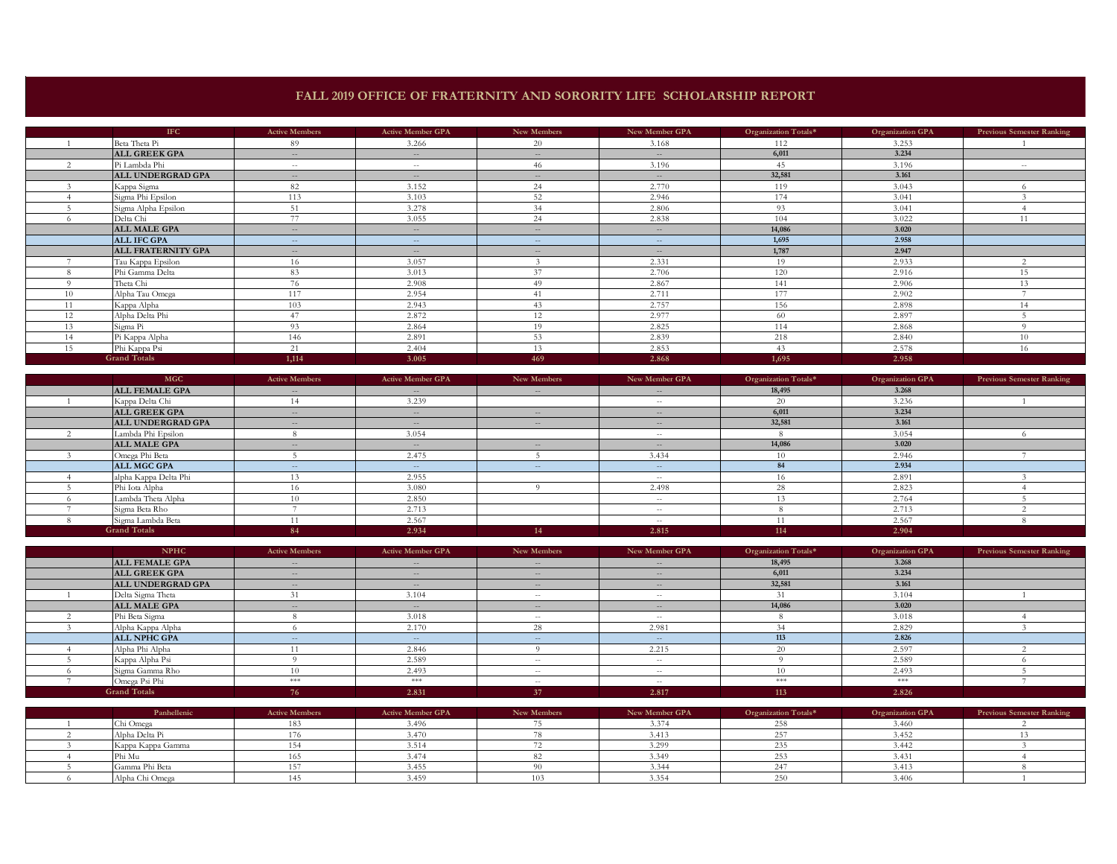## **FALL 2019 OFFICE OF FRATERNITY AND SORORITY LIFE SCHOLARSHIP REPORT**

|     | <b>IFC</b>                | <b>Active Members</b> | <b>Active Member GPA</b> | New Members       | New Member GPA                                 | Organization Totals* | Organization GPA | <b>Previous Semester Ranking</b> |
|-----|---------------------------|-----------------------|--------------------------|-------------------|------------------------------------------------|----------------------|------------------|----------------------------------|
|     | Beta Theta Pi             | 89                    | 3.266                    | 20                | 3.168                                          | 112                  | 3.253            |                                  |
|     | <b>ALL GREEK GPA</b>      | $\sim$                | $- -$                    | $\qquad \qquad -$ | $\sim$                                         | 6,011                | 3.234            |                                  |
|     | Pi Lambda Phi             | $\sim$ $-$            | $\sim$ $-$               | 46                | 3.196                                          | 45                   | 3.196            | $\sim$ $-$                       |
|     | <b>ALL UNDERGRAD GPA</b>  | $-$                   | $  \,$                   | $\frac{1}{2}$     | $\sim$                                         | 32,581               | 3.161            |                                  |
|     | Kappa Sigma               | 82                    | 3.152                    | 24                | 2.770                                          | 119                  | 3.043            |                                  |
|     | Sigma Phi Epsilon         | 113                   | 3.103                    | 52                | 2.946                                          | 174                  | 3.041            |                                  |
|     | Sigma Alpha Epsilon       | 51                    | 3.278                    | 34                | 2.806                                          | 93                   | 3.041            |                                  |
|     | Delta Chi                 | 77                    | 3.055                    | 24                | 2.838                                          | 104                  | 3.022            | 11                               |
|     | <b>ALL MALE GPA</b>       | $-$                   | $  \,$                   | $\frac{1}{2}$     | $\sim$                                         | 14,086               | 3.020            |                                  |
|     | <b>ALL IFC GPA</b>        | $-$                   | $- -$                    | $\qquad \qquad -$ | $-$                                            | 1,695                | 2.958            |                                  |
|     | <b>ALL FRATERNITY GPA</b> | $-$                   | $\sim$                   | $\frac{1}{2}$     | $\hspace{0.1mm}-\hspace{0.1mm}-\hspace{0.1mm}$ | 1,787                | 2.947            |                                  |
|     | Tau Kappa Epsilon         | 16                    | 3.057                    |                   | 2.331                                          | 19                   | 2.933            |                                  |
|     | Phi Gamma Delta           | 83                    | 3.013                    | 37                | 2.706                                          | 120                  | 2.916            | 15                               |
|     | Theta Chi                 | 76                    | 2.908                    | 49                | 2.867                                          | 141                  | 2.906            | 13                               |
| 10  | Alpha Tau Omega           | 117                   | 2.954                    | 41                | 2.711                                          | 177                  | 2.902            |                                  |
| 4.4 | Kappa Alpha               | 103                   | 2.943                    | 43                | 2.757                                          | 156                  | 2.898            | 14                               |
| 12  | Alpha Delta Phi           | 47                    | 2.872                    | 12                | 2.977                                          | 60                   | 2.897            |                                  |
| 13  | Sigma Pi                  | 93                    | 2.864                    | 19                | 2.825                                          | 114                  | 2.868            | $\Omega$                         |
| 14  | Pi Kappa Alpha            | 146                   | 2.891                    | 53                | 2.839                                          | 218                  | 2.840            | 10                               |
| 15  | Phi Kappa Psi             | 21                    | 2.404                    | 13                | 2.853                                          | 43                   | 2.578            | 16                               |
|     | <b>Grand Totals</b>       | 1.114                 | 3.005                    | 469               | 2.868                                          | 1,695                | 2.958            |                                  |

| <b>MGC</b>            | <b>Active Members</b> | <b>Active Member GPA</b> | New Members   | New Member GPA | Organization Totals* | Organization GPA | <b>Previous Semester Ranking</b> |
|-----------------------|-----------------------|--------------------------|---------------|----------------|----------------------|------------------|----------------------------------|
| <b>ALL FEMALE GPA</b> | $\qquad \qquad -$     | $- -$                    | $\sim$        | $-$            | 18,495               | 3.268            |                                  |
| Kappa Delta Chi       |                       | 3.239                    |               | $-$            | 20                   | 3.236            |                                  |
| <b>ALL GREEK GPA</b>  | $\qquad \qquad -$     | $\sim$                   | $\sim$        | $\frac{1}{2}$  | 6,011                | 3.234            |                                  |
| ALL UNDERGRAD GPA     | $  \,$                | $  \,$                   | $\sim$        | $-$            | 32,581               | 3.161            |                                  |
| Lambda Phi Epsilon    |                       | 3.054                    |               | $\sim$ $-$     |                      | 3.054            |                                  |
| <b>ALL MALE GPA</b>   | $\qquad \qquad -$     | $\qquad \qquad -$        | $\frac{1}{2}$ | $-$            | 14,086               | 3.020            |                                  |
| Omega Phi Beta        |                       | 2.475                    |               | 3.434          |                      | 2.946            |                                  |
| ALL MGC GPA           |                       | $  \,$                   | $\sim$        | $-$            | 84                   | 2.934            |                                  |
| alpha Kappa Delta Phi |                       | 2.955                    |               | $\sim$ $-$     |                      | 2.891            |                                  |
| Phi Iota Alpha        |                       | 3.080                    |               | 2.498          | 28                   | 2.823            |                                  |
| Lambda Theta Alpha    |                       | 2.850                    |               | $-$            |                      | 2.764            |                                  |
| Sigma Beta Rho        |                       | 2.713                    |               | $-$            |                      | 2.713            |                                  |
| Sigma Lambda Beta     |                       | 2.567                    |               | $-$            |                      | 2.567            |                                  |
| <b>Grand Totals</b>   | 84                    | 2.934                    | 4.4<br>44     | 2.815          | 114                  | 2.904            |                                  |

| <b>NPHC</b>           | <b>Active Members</b> | <b>Active Member GPA</b>                       | New Members | New Member GPA | Organization Totals* | Organization GPA | <b>Previous Semester Ranking</b> |
|-----------------------|-----------------------|------------------------------------------------|-------------|----------------|----------------------|------------------|----------------------------------|
| <b>ALL FEMALE GPA</b> | $\sim$                | $-$                                            | $\sim$      | $\cdots$       | 18,495               | 3.268            |                                  |
| <b>ALL GREEK GPA</b>  | $\qquad \qquad -$     | $\hspace{0.1mm}-\hspace{0.1mm}-\hspace{0.1mm}$ | $\sim$      | $\sim$         | 6,011                | 3.234            |                                  |
| ALL UNDERGRAD GPA     | $\frac{1}{2}$         | $-$                                            | $\sim$      | $\frac{1}{2}$  | 32,581               | 3.161            |                                  |
| Delta Sigma Theta     |                       | 3.104                                          | $\sim$ $-$  | $-$            |                      | 3.104            |                                  |
| <b>ALL MALE GPA</b>   | $\frac{1}{2}$         | $- -$                                          | $\sim$      | $-$            | 14,086               | 3.020            |                                  |
| Phi Beta Sigma        |                       | 3.018                                          | $\sim$ $-$  | $\sim$ $-$     |                      | 3.018            |                                  |
| Alpha Kappa Alpha     |                       | 2.170                                          | 28          | 2.981          | 34                   | 2.829            |                                  |
| <b>ALL NPHC GPA</b>   | $\sim$                | $\sim$                                         | $\sim$      | $-$            | 113                  | 2.826            |                                  |
| Alpha Phi Alpha       |                       | 2.846                                          |             | 2.215          |                      | 2.597            |                                  |
| Kappa Alpha Psi       |                       | 2.589                                          | $\sim$ $-$  | $\sim$ $-$     |                      | 2.589            |                                  |
| Sigma Gamma Rho       |                       | 2.493                                          | $\sim$ $-$  | $\sim$ $-$     |                      | 2.493            |                                  |
| Omega Psi Phi         | ***                   | ***                                            | $\sim$ $-$  | $\sim$ $-$     | $*$                  | ***              |                                  |
| <b>Grand Totals</b>   |                       | 2.831                                          | 37          | 2.817          | 113                  | 2.826            |                                  |

| Panhellenic       | <b>Active Members</b> | <b>Active Member GPA</b> | New Members | New Member GPA | Organization Totals* | <b>Organization GPA</b> | <b>Previous Semester Ranking</b> |
|-------------------|-----------------------|--------------------------|-------------|----------------|----------------------|-------------------------|----------------------------------|
| Chi Omega         |                       | 3.496                    |             |                |                      | 3.460                   |                                  |
| Alpha Delta Pi    |                       | 3.470                    |             |                |                      | 3.452                   |                                  |
| Kappa Kappa Gamma |                       |                          |             |                |                      | 3.442                   |                                  |
| Phi Mu            |                       | $-47$                    |             | 3.349          |                      | 3.431                   |                                  |
| Gamma Phi Beta    |                       |                          |             |                |                      | 3.413                   |                                  |
| Alpha Chi Omega   |                       | 3.459                    |             |                |                      | 3.406                   |                                  |